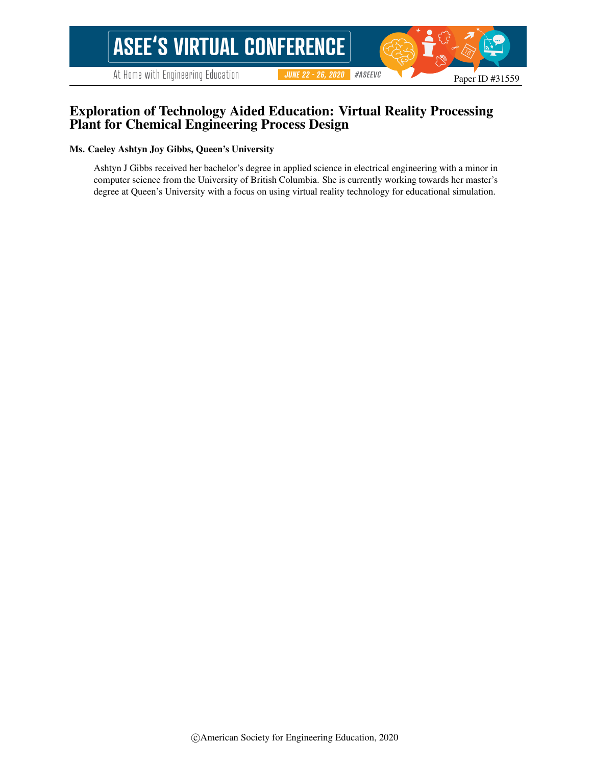At Home with Engineering Education

 $\#ASEEVC$ **JUNE 22 - 26, 2020** 

## Exploration of Technology Aided Education: Virtual Reality Processing Plant for Chemical Engineering Process Design

#### Ms. Caeley Ashtyn Joy Gibbs, Queen's University

Ashtyn J Gibbs received her bachelor's degree in applied science in electrical engineering with a minor in computer science from the University of British Columbia. She is currently working towards her master's degree at Queen's University with a focus on using virtual reality technology for educational simulation.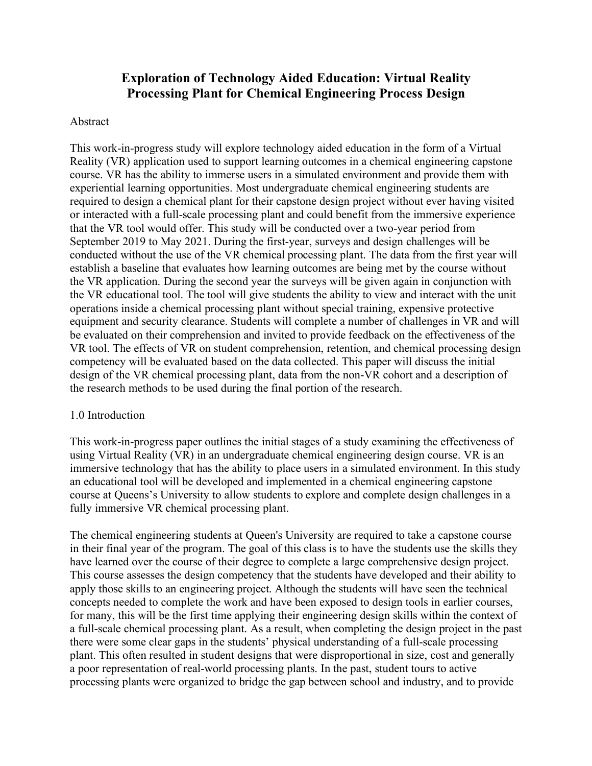# **Exploration of Technology Aided Education: Virtual Reality Processing Plant for Chemical Engineering Process Design**

#### Abstract

This work-in-progress study will explore technology aided education in the form of a Virtual Reality (VR) application used to support learning outcomes in a chemical engineering capstone course. VR has the ability to immerse users in a simulated environment and provide them with experiential learning opportunities. Most undergraduate chemical engineering students are required to design a chemical plant for their capstone design project without ever having visited or interacted with a full-scale processing plant and could benefit from the immersive experience that the VR tool would offer. This study will be conducted over a two-year period from September 2019 to May 2021. During the first-year, surveys and design challenges will be conducted without the use of the VR chemical processing plant. The data from the first year will establish a baseline that evaluates how learning outcomes are being met by the course without the VR application. During the second year the surveys will be given again in conjunction with the VR educational tool. The tool will give students the ability to view and interact with the unit operations inside a chemical processing plant without special training, expensive protective equipment and security clearance. Students will complete a number of challenges in VR and will be evaluated on their comprehension and invited to provide feedback on the effectiveness of the VR tool. The effects of VR on student comprehension, retention, and chemical processing design competency will be evaluated based on the data collected. This paper will discuss the initial design of the VR chemical processing plant, data from the non-VR cohort and a description of the research methods to be used during the final portion of the research.

#### 1.0 Introduction

This work-in-progress paper outlines the initial stages of a study examining the effectiveness of using Virtual Reality (VR) in an undergraduate chemical engineering design course. VR is an immersive technology that has the ability to place users in a simulated environment. In this study an educational tool will be developed and implemented in a chemical engineering capstone course at Queens's University to allow students to explore and complete design challenges in a fully immersive VR chemical processing plant.

The chemical engineering students at Queen's University are required to take a capstone course in their final year of the program. The goal of this class is to have the students use the skills they have learned over the course of their degree to complete a large comprehensive design project. This course assesses the design competency that the students have developed and their ability to apply those skills to an engineering project. Although the students will have seen the technical concepts needed to complete the work and have been exposed to design tools in earlier courses, for many, this will be the first time applying their engineering design skills within the context of a full-scale chemical processing plant. As a result, when completing the design project in the past there were some clear gaps in the students' physical understanding of a full-scale processing plant. This often resulted in student designs that were disproportional in size, cost and generally a poor representation of real-world processing plants. In the past, student tours to active processing plants were organized to bridge the gap between school and industry, and to provide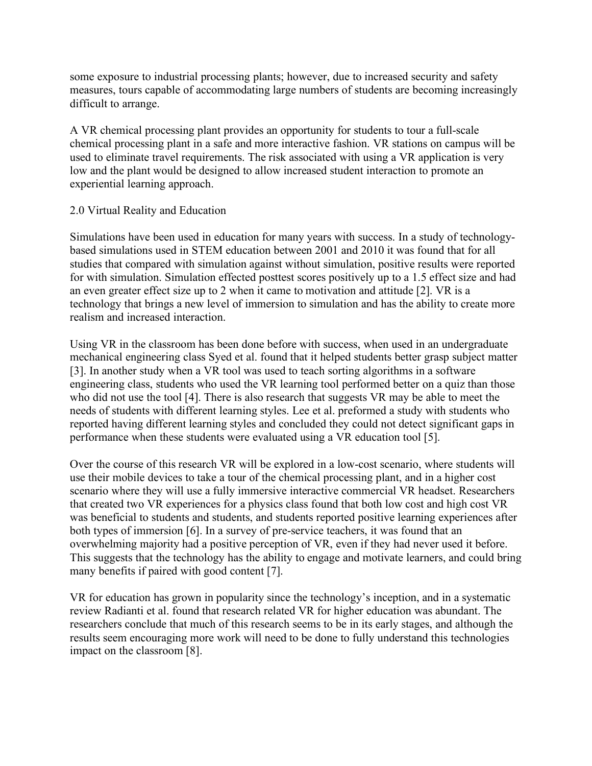some exposure to industrial processing plants; however, due to increased security and safety measures, tours capable of accommodating large numbers of students are becoming increasingly difficult to arrange.

A VR chemical processing plant provides an opportunity for students to tour a full-scale chemical processing plant in a safe and more interactive fashion. VR stations on campus will be used to eliminate travel requirements. The risk associated with using a VR application is very low and the plant would be designed to allow increased student interaction to promote an experiential learning approach.

## 2.0 Virtual Reality and Education

Simulations have been used in education for many years with success. In a study of technologybased simulations used in STEM education between 2001 and 2010 it was found that for all studies that compared with simulation against without simulation, positive results were reported for with simulation. Simulation effected posttest scores positively up to a 1.5 effect size and had an even greater effect size up to 2 when it came to motivation and attitude [2]. VR is a technology that brings a new level of immersion to simulation and has the ability to create more realism and increased interaction.

Using VR in the classroom has been done before with success, when used in an undergraduate mechanical engineering class Syed et al. found that it helped students better grasp subject matter [3]. In another study when a VR tool was used to teach sorting algorithms in a software engineering class, students who used the VR learning tool performed better on a quiz than those who did not use the tool [4]. There is also research that suggests VR may be able to meet the needs of students with different learning styles. Lee et al. preformed a study with students who reported having different learning styles and concluded they could not detect significant gaps in performance when these students were evaluated using a VR education tool [5].

Over the course of this research VR will be explored in a low-cost scenario, where students will use their mobile devices to take a tour of the chemical processing plant, and in a higher cost scenario where they will use a fully immersive interactive commercial VR headset. Researchers that created two VR experiences for a physics class found that both low cost and high cost VR was beneficial to students and students, and students reported positive learning experiences after both types of immersion [6]. In a survey of pre-service teachers, it was found that an overwhelming majority had a positive perception of VR, even if they had never used it before. This suggests that the technology has the ability to engage and motivate learners, and could bring many benefits if paired with good content [7].

VR for education has grown in popularity since the technology's inception, and in a systematic review Radianti et al. found that research related VR for higher education was abundant. The researchers conclude that much of this research seems to be in its early stages, and although the results seem encouraging more work will need to be done to fully understand this technologies impact on the classroom [8].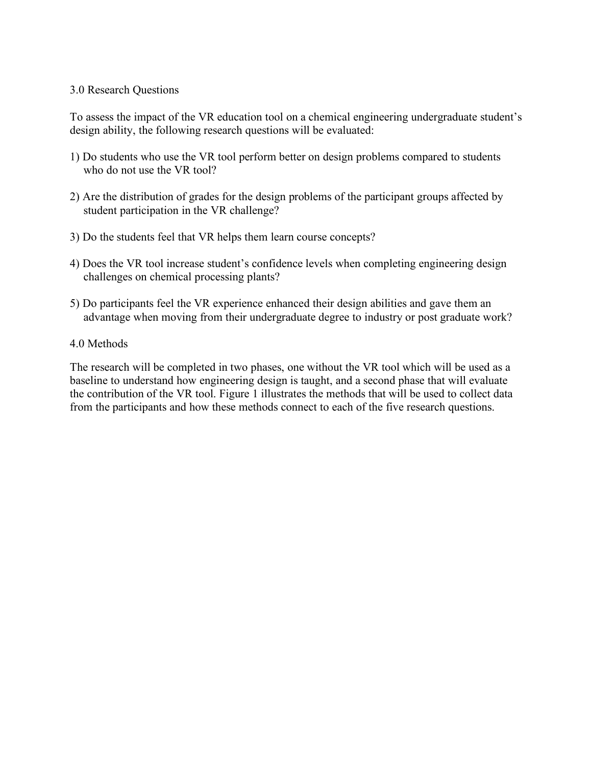#### 3.0 Research Questions

To assess the impact of the VR education tool on a chemical engineering undergraduate student's design ability, the following research questions will be evaluated:

- 1) Do students who use the VR tool perform better on design problems compared to students who do not use the VR tool?
- 2) Are the distribution of grades for the design problems of the participant groups affected by student participation in the VR challenge?
- 3) Do the students feel that VR helps them learn course concepts?
- 4) Does the VR tool increase student's confidence levels when completing engineering design challenges on chemical processing plants?
- 5) Do participants feel the VR experience enhanced their design abilities and gave them an advantage when moving from their undergraduate degree to industry or post graduate work?

### 4.0 Methods

The research will be completed in two phases, one without the VR tool which will be used as a baseline to understand how engineering design is taught, and a second phase that will evaluate the contribution of the VR tool. Figure 1 illustrates the methods that will be used to collect data from the participants and how these methods connect to each of the five research questions.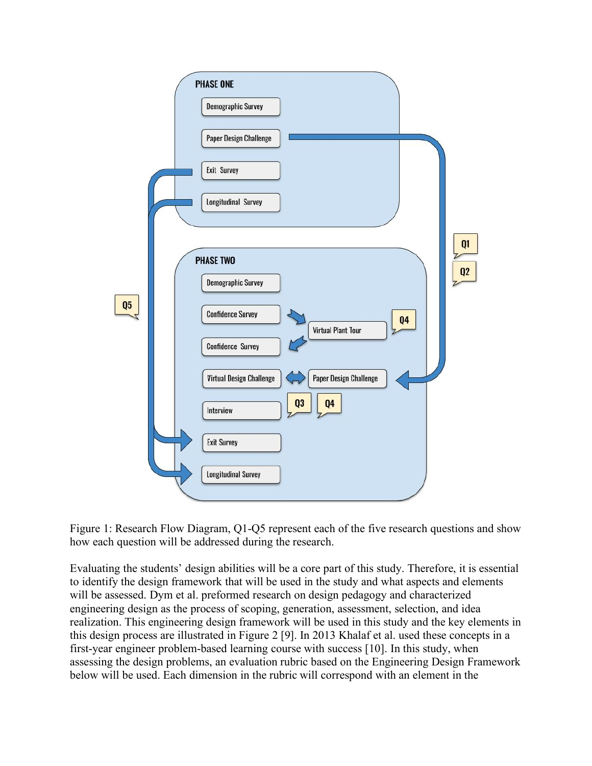

Figure 1: Research Flow Diagram, Q1-Q5 represent each of the five research questions and show how each question will be addressed during the research.

Evaluating the students' design abilities will be a core part of this study. Therefore, it is essential to identify the design framework that will be used in the study and what aspects and elements will be assessed. Dym et al. preformed research on design pedagogy and characterized engineering design as the process of scoping, generation, assessment, selection, and idea realization. This engineering design framework will be used in this study and the key elements in this design process are illustrated in Figure 2 [9]. In 2013 Khalaf et al. used these concepts in a first-year engineer problem-based learning course with success [10]. In this study, when assessing the design problems, an evaluation rubric based on the Engineering Design Framework below will be used. Each dimension in the rubric will correspond with an element in the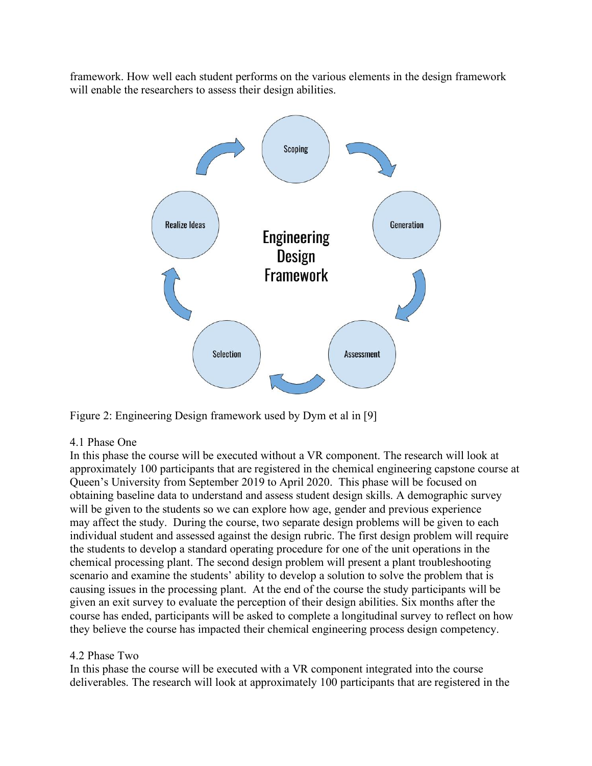framework. How well each student performs on the various elements in the design framework will enable the researchers to assess their design abilities.



Figure 2: Engineering Design framework used by Dym et al in [9]

## 4.1 Phase One

In this phase the course will be executed without a VR component. The research will look at approximately 100 participants that are registered in the chemical engineering capstone course at Queen's University from September 2019 to April 2020. This phase will be focused on obtaining baseline data to understand and assess student design skills. A demographic survey will be given to the students so we can explore how age, gender and previous experience may affect the study. During the course, two separate design problems will be given to each individual student and assessed against the design rubric. The first design problem will require the students to develop a standard operating procedure for one of the unit operations in the chemical processing plant. The second design problem will present a plant troubleshooting scenario and examine the students' ability to develop a solution to solve the problem that is causing issues in the processing plant. At the end of the course the study participants will be given an exit survey to evaluate the perception of their design abilities. Six months after the course has ended, participants will be asked to complete a longitudinal survey to reflect on how they believe the course has impacted their chemical engineering process design competency.

## 4.2 Phase Two

In this phase the course will be executed with a VR component integrated into the course deliverables. The research will look at approximately 100 participants that are registered in the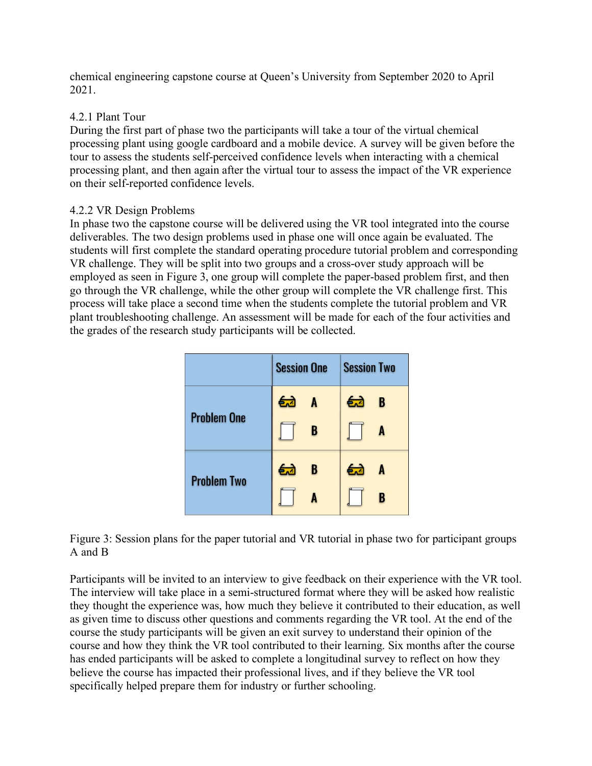chemical engineering capstone course at Queen's University from September 2020 to April 2021.

## 4.2.1 Plant Tour

During the first part of phase two the participants will take a tour of the virtual chemical processing plant using google cardboard and a mobile device. A survey will be given before the tour to assess the students self-perceived confidence levels when interacting with a chemical processing plant, and then again after the virtual tour to assess the impact of the VR experience on their self-reported confidence levels.

## 4.2.2 VR Design Problems

In phase two the capstone course will be delivered using the VR tool integrated into the course deliverables. The two design problems used in phase one will once again be evaluated. The students will first complete the standard operating procedure tutorial problem and corresponding VR challenge. They will be split into two groups and a cross-over study approach will be employed as seen in Figure 3, one group will complete the paper-based problem first, and then go through the VR challenge, while the other group will complete the VR challenge first. This process will take place a second time when the students complete the tutorial problem and VR plant troubleshooting challenge. An assessment will be made for each of the four activities and the grades of the research study participants will be collected.

|                    | <b>Session One</b> | <b>Session Two</b> |
|--------------------|--------------------|--------------------|
| <b>Problem One</b> | 血<br>$\mathbf{A}$  | 64<br>B            |
|                    | B                  | A                  |
| <b>Problem Two</b> | 包<br>B             | 血<br>A             |
|                    |                    | B                  |

Figure 3: Session plans for the paper tutorial and VR tutorial in phase two for participant groups A and B

Participants will be invited to an interview to give feedback on their experience with the VR tool. The interview will take place in a semi-structured format where they will be asked how realistic they thought the experience was, how much they believe it contributed to their education, as well as given time to discuss other questions and comments regarding the VR tool. At the end of the course the study participants will be given an exit survey to understand their opinion of the course and how they think the VR tool contributed to their learning. Six months after the course has ended participants will be asked to complete a longitudinal survey to reflect on how they believe the course has impacted their professional lives, and if they believe the VR tool specifically helped prepare them for industry or further schooling.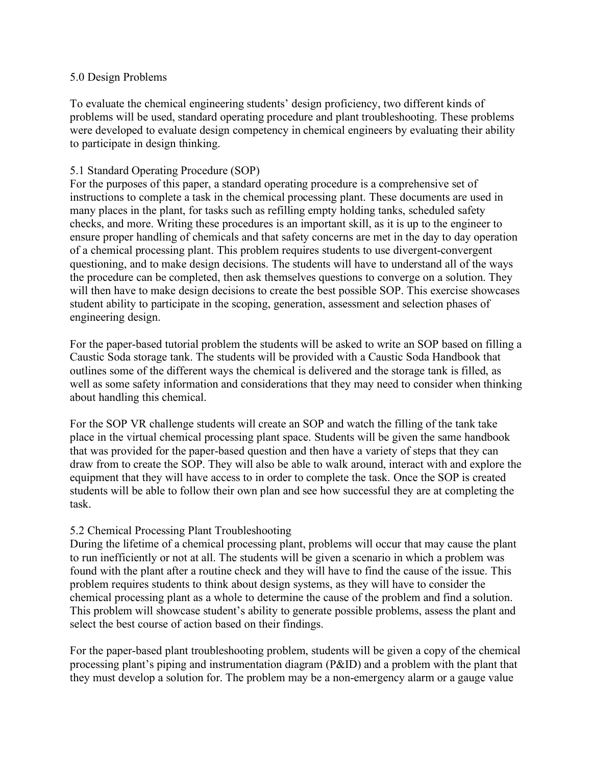#### 5.0 Design Problems

To evaluate the chemical engineering students' design proficiency, two different kinds of problems will be used, standard operating procedure and plant troubleshooting. These problems were developed to evaluate design competency in chemical engineers by evaluating their ability to participate in design thinking.

## 5.1 Standard Operating Procedure (SOP)

For the purposes of this paper, a standard operating procedure is a comprehensive set of instructions to complete a task in the chemical processing plant. These documents are used in many places in the plant, for tasks such as refilling empty holding tanks, scheduled safety checks, and more. Writing these procedures is an important skill, as it is up to the engineer to ensure proper handling of chemicals and that safety concerns are met in the day to day operation of a chemical processing plant. This problem requires students to use divergent-convergent questioning, and to make design decisions. The students will have to understand all of the ways the procedure can be completed, then ask themselves questions to converge on a solution. They will then have to make design decisions to create the best possible SOP. This exercise showcases student ability to participate in the scoping, generation, assessment and selection phases of engineering design.

For the paper-based tutorial problem the students will be asked to write an SOP based on filling a Caustic Soda storage tank. The students will be provided with a Caustic Soda Handbook that outlines some of the different ways the chemical is delivered and the storage tank is filled, as well as some safety information and considerations that they may need to consider when thinking about handling this chemical.

For the SOP VR challenge students will create an SOP and watch the filling of the tank take place in the virtual chemical processing plant space. Students will be given the same handbook that was provided for the paper-based question and then have a variety of steps that they can draw from to create the SOP. They will also be able to walk around, interact with and explore the equipment that they will have access to in order to complete the task. Once the SOP is created students will be able to follow their own plan and see how successful they are at completing the task.

## 5.2 Chemical Processing Plant Troubleshooting

During the lifetime of a chemical processing plant, problems will occur that may cause the plant to run inefficiently or not at all. The students will be given a scenario in which a problem was found with the plant after a routine check and they will have to find the cause of the issue. This problem requires students to think about design systems, as they will have to consider the chemical processing plant as a whole to determine the cause of the problem and find a solution. This problem will showcase student's ability to generate possible problems, assess the plant and select the best course of action based on their findings.

For the paper-based plant troubleshooting problem, students will be given a copy of the chemical processing plant's piping and instrumentation diagram (P&ID) and a problem with the plant that they must develop a solution for. The problem may be a non-emergency alarm or a gauge value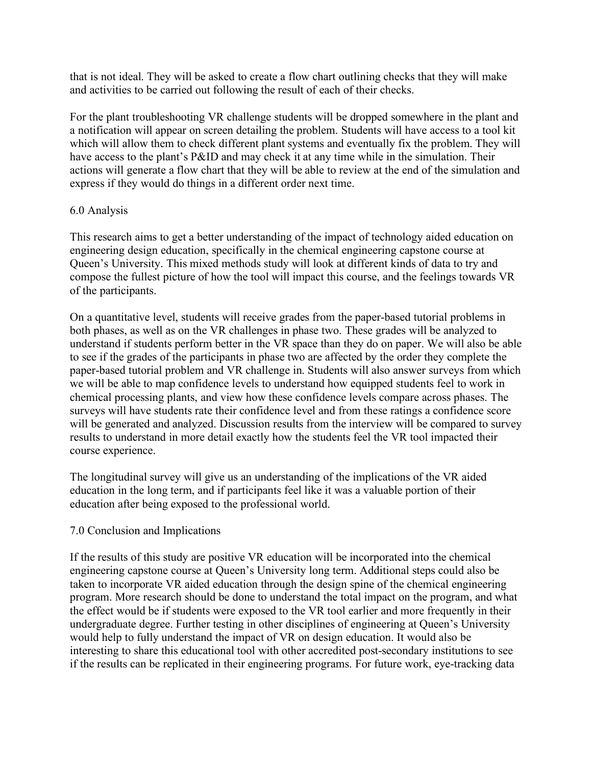that is not ideal. They will be asked to create a flow chart outlining checks that they will make and activities to be carried out following the result of each of their checks.

For the plant troubleshooting VR challenge students will be dropped somewhere in the plant and a notification will appear on screen detailing the problem. Students will have access to a tool kit which will allow them to check different plant systems and eventually fix the problem. They will have access to the plant's P&ID and may check it at any time while in the simulation. Their actions will generate a flow chart that they will be able to review at the end of the simulation and express if they would do things in a different order next time.

### 6.0 Analysis

This research aims to get a better understanding of the impact of technology aided education on engineering design education, specifically in the chemical engineering capstone course at Queen's University. This mixed methods study will look at different kinds of data to try and compose the fullest picture of how the tool will impact this course, and the feelings towards VR of the participants.

On a quantitative level, students will receive grades from the paper-based tutorial problems in both phases, as well as on the VR challenges in phase two. These grades will be analyzed to understand if students perform better in the VR space than they do on paper. We will also be able to see if the grades of the participants in phase two are affected by the order they complete the paper-based tutorial problem and VR challenge in. Students will also answer surveys from which we will be able to map confidence levels to understand how equipped students feel to work in chemical processing plants, and view how these confidence levels compare across phases. The surveys will have students rate their confidence level and from these ratings a confidence score will be generated and analyzed. Discussion results from the interview will be compared to survey results to understand in more detail exactly how the students feel the VR tool impacted their course experience.

The longitudinal survey will give us an understanding of the implications of the VR aided education in the long term, and if participants feel like it was a valuable portion of their education after being exposed to the professional world.

#### 7.0 Conclusion and Implications

If the results of this study are positive VR education will be incorporated into the chemical engineering capstone course at Queen's University long term. Additional steps could also be taken to incorporate VR aided education through the design spine of the chemical engineering program. More research should be done to understand the total impact on the program, and what the effect would be if students were exposed to the VR tool earlier and more frequently in their undergraduate degree. Further testing in other disciplines of engineering at Queen's University would help to fully understand the impact of VR on design education. It would also be interesting to share this educational tool with other accredited post-secondary institutions to see if the results can be replicated in their engineering programs. For future work, eye-tracking data